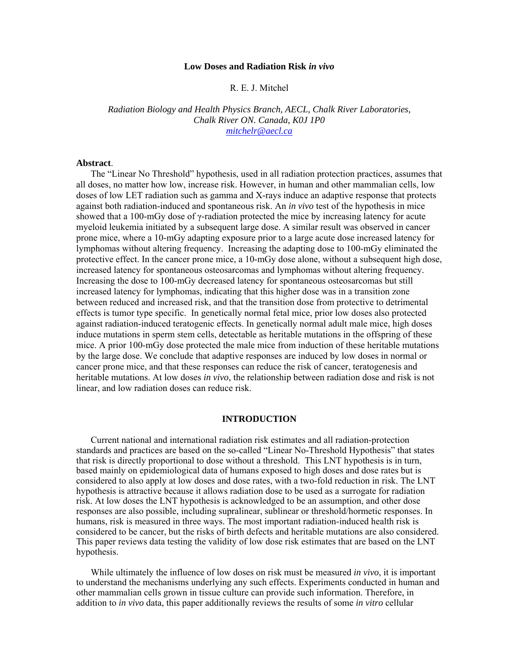#### **Low Doses and Radiation Risk** *in vivo*

### R. E. J. Mitchel

*Radiation Biology and Health Physics Branch, AECL, Chalk River Laboratories, Chalk River ON. Canada, K0J 1P0 mitchelr@aecl.ca*

### **Abstract**.

The "Linear No Threshold" hypothesis, used in all radiation protection practices, assumes that all doses, no matter how low, increase risk. However, in human and other mammalian cells, low doses of low LET radiation such as gamma and X-rays induce an adaptive response that protects against both radiation-induced and spontaneous risk. An *in vivo* test of the hypothesis in mice showed that a 100-mGy dose of γ-radiation protected the mice by increasing latency for acute myeloid leukemia initiated by a subsequent large dose. A similar result was observed in cancer prone mice, where a 10-mGy adapting exposure prior to a large acute dose increased latency for lymphomas without altering frequency. Increasing the adapting dose to 100-mGy eliminated the protective effect. In the cancer prone mice, a 10-mGy dose alone, without a subsequent high dose, increased latency for spontaneous osteosarcomas and lymphomas without altering frequency. Increasing the dose to 100-mGy decreased latency for spontaneous osteosarcomas but still increased latency for lymphomas, indicating that this higher dose was in a transition zone between reduced and increased risk, and that the transition dose from protective to detrimental effects is tumor type specific. In genetically normal fetal mice, prior low doses also protected against radiation-induced teratogenic effects. In genetically normal adult male mice, high doses induce mutations in sperm stem cells, detectable as heritable mutations in the offspring of these mice. A prior 100-mGy dose protected the male mice from induction of these heritable mutations by the large dose. We conclude that adaptive responses are induced by low doses in normal or cancer prone mice, and that these responses can reduce the risk of cancer, teratogenesis and heritable mutations. At low doses *in vivo*, the relationship between radiation dose and risk is not linear, and low radiation doses can reduce risk.

### **INTRODUCTION**

Current national and international radiation risk estimates and all radiation-protection standards and practices are based on the so-called "Linear No-Threshold Hypothesis" that states that risk is directly proportional to dose without a threshold. This LNT hypothesis is in turn, based mainly on epidemiological data of humans exposed to high doses and dose rates but is considered to also apply at low doses and dose rates, with a two-fold reduction in risk. The LNT hypothesis is attractive because it allows radiation dose to be used as a surrogate for radiation risk. At low doses the LNT hypothesis is acknowledged to be an assumption, and other dose responses are also possible, including supralinear, sublinear or threshold/hormetic responses. In humans, risk is measured in three ways. The most important radiation-induced health risk is considered to be cancer, but the risks of birth defects and heritable mutations are also considered. This paper reviews data testing the validity of low dose risk estimates that are based on the LNT hypothesis.

While ultimately the influence of low doses on risk must be measured *in vivo*, it is important to understand the mechanisms underlying any such effects. Experiments conducted in human and other mammalian cells grown in tissue culture can provide such information. Therefore, in addition to *in vivo* data, this paper additionally reviews the results of some *in vitro* cellular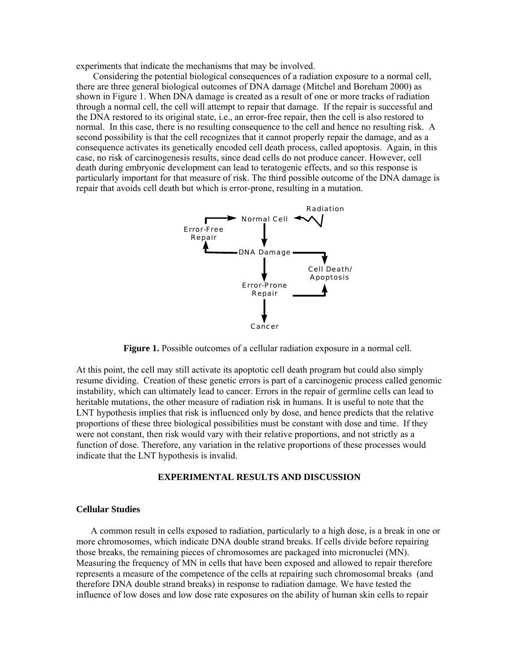experiments that indicate the mechanisms that may be involved.

 Considering the potential biological consequences of a radiation exposure to a normal cell, there are three general biological outcomes of DNA damage (Mitchel and Boreham 2000) as shown in Figure 1. When DNA damage is created as a result of one or more tracks of radiation through a normal cell, the cell will attempt to repair that damage. If the repair is successful and the DNA restored to its original state, i.e., an error-free repair, then the cell is also restored to normal. In this case, there is no resulting consequence to the cell and hence no resulting risk. A second possibility is that the cell recognizes that it cannot properly repair the damage, and as a consequence activates its genetically encoded cell death process, called apoptosis. Again, in this case, no risk of carcinogenesis results, since dead cells do not produce cancer. However, cell death during embryonic development can lead to teratogenic effects, and so this response is particularly important for that measure of risk. The third possible outcome of the DNA damage is repair that avoids cell death but which is error-prone, resulting in a mutation.



**Figure 1.** Possible outcomes of a cellular radiation exposure in a normal cell.

At this point, the cell may still activate its apoptotic cell death program but could also simply resume dividing. Creation of these genetic errors is part of a carcinogenic process called genomic instability, which can ultimately lead to cancer. Errors in the repair of germline cells can lead to heritable mutations, the other measure of radiation risk in humans. It is useful to note that the LNT hypothesis implies that risk is influenced only by dose, and hence predicts that the relative proportions of these three biological possibilities must be constant with dose and time. If they were not constant, then risk would vary with their relative proportions, and not strictly as a function of dose. Therefore, any variation in the relative proportions of these processes would indicate that the LNT hypothesis is invalid.

# **EXPERIMENTAL RESULTS AND DISCUSSION**

# **Cellular Studies**

A common result in cells exposed to radiation, particularly to a high dose, is a break in one or more chromosomes, which indicate DNA double strand breaks. If cells divide before repairing those breaks, the remaining pieces of chromosomes are packaged into micronuclei (MN). Measuring the frequency of MN in cells that have been exposed and allowed to repair therefore represents a measure of the competence of the cells at repairing such chromosomal breaks (and therefore DNA double strand breaks) in response to radiation damage. We have tested the influence of low doses and low dose rate exposures on the ability of human skin cells to repair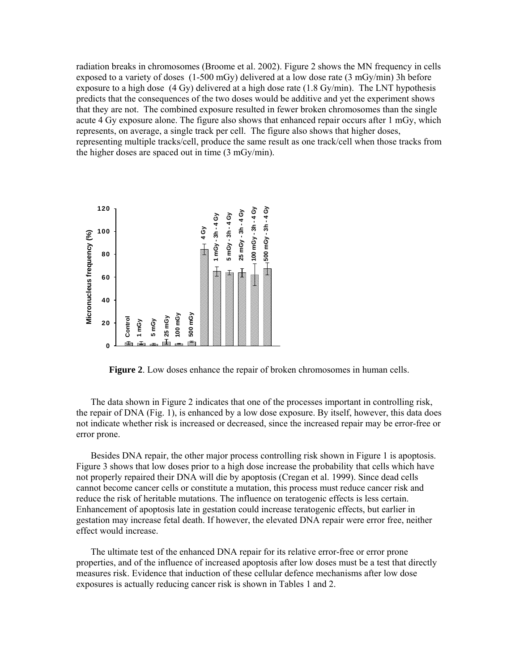radiation breaks in chromosomes (Broome et al. 2002). Figure 2 shows the MN frequency in cells exposed to a variety of doses (1-500 mGy) delivered at a low dose rate (3 mGy/min) 3h before exposure to a high dose (4 Gy) delivered at a high dose rate (1.8 Gy/min). The LNT hypothesis predicts that the consequences of the two doses would be additive and yet the experiment shows that they are not. The combined exposure resulted in fewer broken chromosomes than the single acute 4 Gy exposure alone. The figure also shows that enhanced repair occurs after 1 mGy, which represents, on average, a single track per cell. The figure also shows that higher doses, representing multiple tracks/cell, produce the same result as one track/cell when those tracks from the higher doses are spaced out in time (3 mGy/min).



**Figure 2**. Low doses enhance the repair of broken chromosomes in human cells.

The data shown in Figure 2 indicates that one of the processes important in controlling risk, the repair of DNA (Fig. 1), is enhanced by a low dose exposure. By itself, however, this data does not indicate whether risk is increased or decreased, since the increased repair may be error-free or error prone.

Besides DNA repair, the other major process controlling risk shown in Figure 1 is apoptosis. Figure 3 shows that low doses prior to a high dose increase the probability that cells which have not properly repaired their DNA will die by apoptosis (Cregan et al. 1999). Since dead cells cannot become cancer cells or constitute a mutation, this process must reduce cancer risk and reduce the risk of heritable mutations. The influence on teratogenic effects is less certain. Enhancement of apoptosis late in gestation could increase teratogenic effects, but earlier in gestation may increase fetal death. If however, the elevated DNA repair were error free, neither effect would increase.

The ultimate test of the enhanced DNA repair for its relative error-free or error prone properties, and of the influence of increased apoptosis after low doses must be a test that directly measures risk. Evidence that induction of these cellular defence mechanisms after low dose exposures is actually reducing cancer risk is shown in Tables 1 and 2.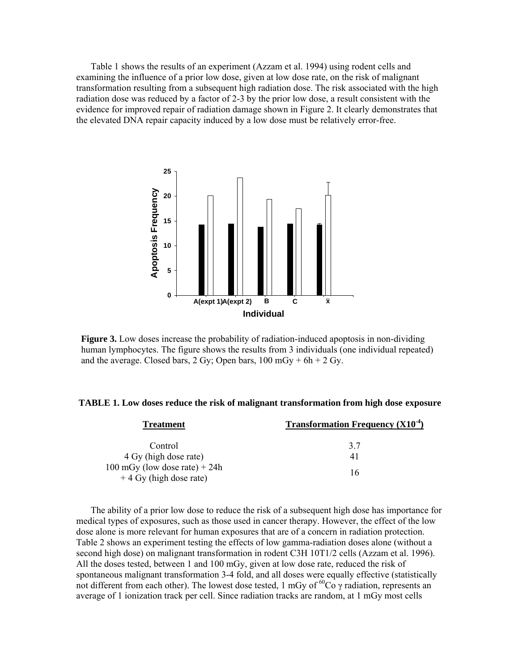Table 1 shows the results of an experiment (Azzam et al. 1994) using rodent cells and examining the influence of a prior low dose, given at low dose rate, on the risk of malignant transformation resulting from a subsequent high radiation dose. The risk associated with the high radiation dose was reduced by a factor of 2-3 by the prior low dose, a result consistent with the evidence for improved repair of radiation damage shown in Figure 2. It clearly demonstrates that the elevated DNA repair capacity induced by a low dose must be relatively error-free.



**Figure 3.** Low doses increase the probability of radiation-induced apoptosis in non-dividing human lymphocytes. The figure shows the results from 3 individuals (one individual repeated) and the average. Closed bars, 2 Gy; Open bars,  $100 \text{ mGy} + 6h + 2 \text{ Gy}$ .

# **TABLE 1. Low doses reduce the risk of malignant transformation from high dose exposure**

| <b>Treatment</b>                                            | <b>Transformation Frequency (X10<sup>-4</sup>)</b> |
|-------------------------------------------------------------|----------------------------------------------------|
| Control                                                     | 3.7                                                |
| 4 Gy (high dose rate)                                       | 41                                                 |
| 100 mGy (low dose rate) $+ 24h$<br>$+4$ Gy (high dose rate) | 16                                                 |

The ability of a prior low dose to reduce the risk of a subsequent high dose has importance for medical types of exposures, such as those used in cancer therapy. However, the effect of the low dose alone is more relevant for human exposures that are of a concern in radiation protection. Table 2 shows an experiment testing the effects of low gamma-radiation doses alone (without a second high dose) on malignant transformation in rodent C3H 10T1/2 cells (Azzam et al. 1996). All the doses tested, between 1 and 100 mGy, given at low dose rate, reduced the risk of spontaneous malignant transformation 3-4 fold, and all doses were equally effective (statistically not different from each other). The lowest dose tested, 1 mGy of  ${}^{60}Co$   $\gamma$  radiation, represents an average of 1 ionization track per cell. Since radiation tracks are random, at 1 mGy most cells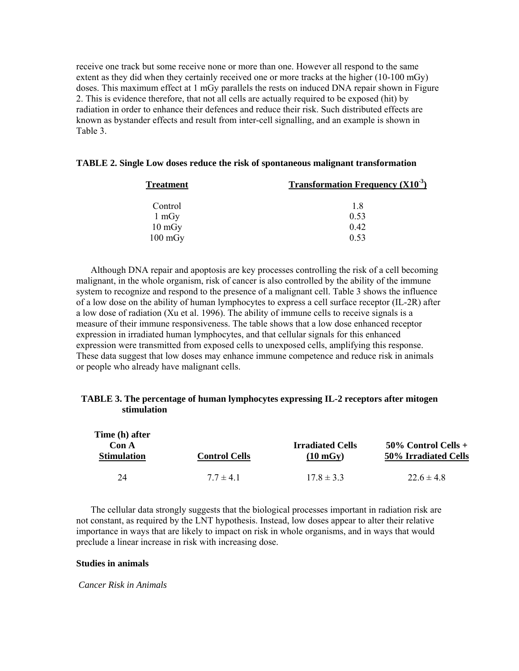receive one track but some receive none or more than one. However all respond to the same extent as they did when they certainly received one or more tracks at the higher (10-100 mGy) doses. This maximum effect at 1 mGy parallels the rests on induced DNA repair shown in Figure 2. This is evidence therefore, that not all cells are actually required to be exposed (hit) by radiation in order to enhance their defences and reduce their risk. Such distributed effects are known as bystander effects and result from inter-cell signalling, and an example is shown in Table 3.

|  |  |  | TABLE 2. Single Low doses reduce the risk of spontaneous malignant transformation |
|--|--|--|-----------------------------------------------------------------------------------|
|  |  |  |                                                                                   |

| <b>Treatment</b>  | <b>Transformation Frequency</b> $(X10^{-3})$ |  |  |
|-------------------|----------------------------------------------|--|--|
| Control           | 18                                           |  |  |
| $1 \text{ mGy}$   | 0.53                                         |  |  |
| $10 \text{ mGy}$  | 0.42                                         |  |  |
| $100 \text{ mGy}$ | 0.53                                         |  |  |

Although DNA repair and apoptosis are key processes controlling the risk of a cell becoming malignant, in the whole organism, risk of cancer is also controlled by the ability of the immune system to recognize and respond to the presence of a malignant cell. Table 3 shows the influence of a low dose on the ability of human lymphocytes to express a cell surface receptor (IL-2R) after a low dose of radiation (Xu et al. 1996). The ability of immune cells to receive signals is a measure of their immune responsiveness. The table shows that a low dose enhanced receptor expression in irradiated human lymphocytes, and that cellular signals for this enhanced expression were transmitted from exposed cells to unexposed cells, amplifying this response. These data suggest that low doses may enhance immune competence and reduce risk in animals or people who already have malignant cells.

# **TABLE 3. The percentage of human lymphocytes expressing IL-2 receptors after mitogen stimulation**

| Time (h) after<br>Con A |                      | <b>Irradiated Cells</b> | $50\%$ Control Cells + |
|-------------------------|----------------------|-------------------------|------------------------|
| <b>Stimulation</b>      | <b>Control Cells</b> | $(10 \text{ mGy})$      | 50% Irradiated Cells   |
| 24                      | $77 \pm 41$          | $178 \pm 33$            | $226 \pm 48$           |

The cellular data strongly suggests that the biological processes important in radiation risk are not constant, as required by the LNT hypothesis. Instead, low doses appear to alter their relative importance in ways that are likely to impact on risk in whole organisms, and in ways that would preclude a linear increase in risk with increasing dose.

## **Studies in animals**

 *Cancer Risk in Animals*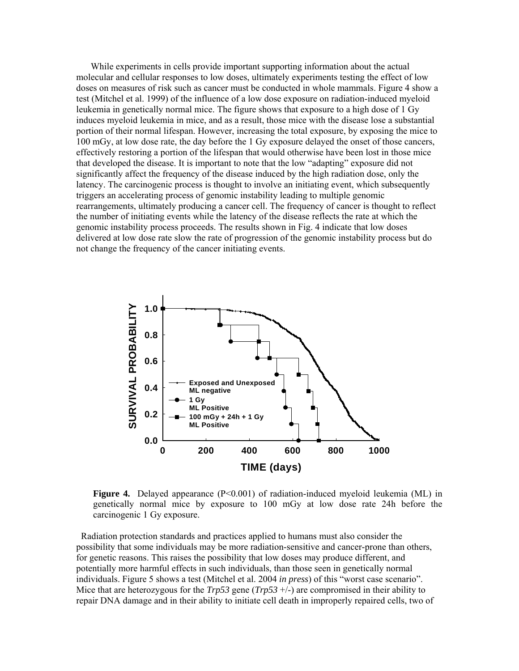While experiments in cells provide important supporting information about the actual molecular and cellular responses to low doses, ultimately experiments testing the effect of low doses on measures of risk such as cancer must be conducted in whole mammals. Figure 4 show a test (Mitchel et al. 1999) of the influence of a low dose exposure on radiation-induced myeloid leukemia in genetically normal mice. The figure shows that exposure to a high dose of 1 Gy induces myeloid leukemia in mice, and as a result, those mice with the disease lose a substantial portion of their normal lifespan. However, increasing the total exposure, by exposing the mice to 100 mGy, at low dose rate, the day before the 1 Gy exposure delayed the onset of those cancers, effectively restoring a portion of the lifespan that would otherwise have been lost in those mice that developed the disease. It is important to note that the low "adapting" exposure did not significantly affect the frequency of the disease induced by the high radiation dose, only the latency. The carcinogenic process is thought to involve an initiating event, which subsequently triggers an accelerating process of genomic instability leading to multiple genomic rearrangements, ultimately producing a cancer cell. The frequency of cancer is thought to reflect the number of initiating events while the latency of the disease reflects the rate at which the genomic instability process proceeds. The results shown in Fig. 4 indicate that low doses delivered at low dose rate slow the rate of progression of the genomic instability process but do not change the frequency of the cancer initiating events.



**Figure 4.** Delayed appearance (P<0.001) of radiation-induced myeloid leukemia (ML) in genetically normal mice by exposure to 100 mGy at low dose rate 24h before the carcinogenic 1 Gy exposure.

Radiation protection standards and practices applied to humans must also consider the possibility that some individuals may be more radiation-sensitive and cancer-prone than others, for genetic reasons. This raises the possibility that low doses may produce different, and potentially more harmful effects in such individuals, than those seen in genetically normal individuals. Figure 5 shows a test (Mitchel et al. 2004 *in press*) of this "worst case scenario". Mice that are heterozygous for the  $Trp53$  gene  $(Trp53 +/-)$  are compromised in their ability to repair DNA damage and in their ability to initiate cell death in improperly repaired cells, two of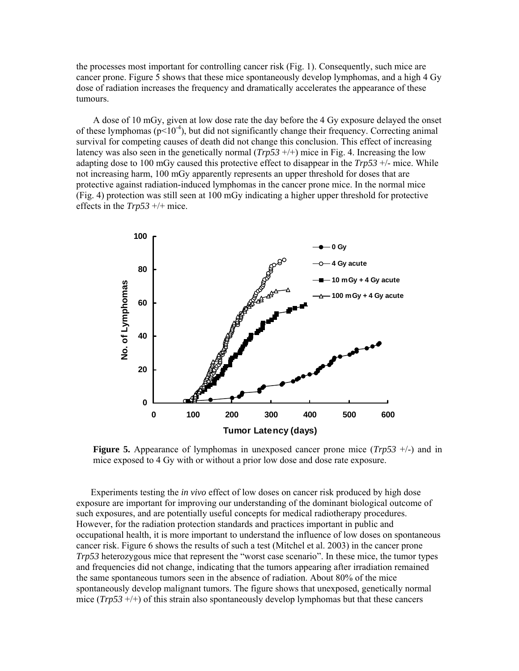the processes most important for controlling cancer risk (Fig. 1). Consequently, such mice are cancer prone. Figure 5 shows that these mice spontaneously develop lymphomas, and a high 4 Gy dose of radiation increases the frequency and dramatically accelerates the appearance of these tumours.

 A dose of 10 mGy, given at low dose rate the day before the 4 Gy exposure delayed the onset of these lymphomas ( $p<10^{-4}$ ), but did not significantly change their frequency. Correcting animal survival for competing causes of death did not change this conclusion. This effect of increasing latency was also seen in the genetically normal  $(Trp53 +/+)$  mice in Fig. 4. Increasing the low adapting dose to 100 mGy caused this protective effect to disappear in the *Trp53* +/- mice. While not increasing harm, 100 mGy apparently represents an upper threshold for doses that are protective against radiation-induced lymphomas in the cancer prone mice. In the normal mice (Fig. 4) protection was still seen at 100 mGy indicating a higher upper threshold for protective effects in the *Trp53* +/+ mice.



**Figure 5.** Appearance of lymphomas in unexposed cancer prone mice (*Trp53* +/-) and in mice exposed to 4 Gy with or without a prior low dose and dose rate exposure.

Experiments testing the *in vivo* effect of low doses on cancer risk produced by high dose exposure are important for improving our understanding of the dominant biological outcome of such exposures, and are potentially useful concepts for medical radiotherapy procedures. However, for the radiation protection standards and practices important in public and occupational health, it is more important to understand the influence of low doses on spontaneous cancer risk. Figure 6 shows the results of such a test (Mitchel et al. 2003) in the cancer prone *Trp53* heterozygous mice that represent the "worst case scenario". In these mice, the tumor types and frequencies did not change, indicating that the tumors appearing after irradiation remained the same spontaneous tumors seen in the absence of radiation. About 80% of the mice spontaneously develop malignant tumors. The figure shows that unexposed, genetically normal mice (*Trp53* +/+) of this strain also spontaneously develop lymphomas but that these cancers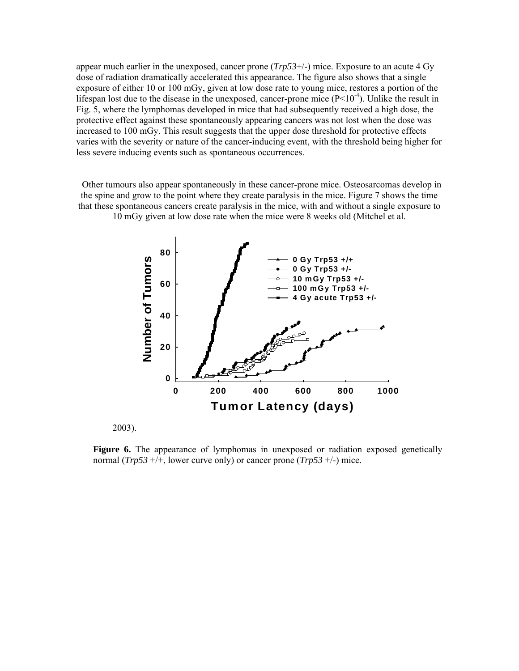appear much earlier in the unexposed, cancer prone (*Trp53*+/-) mice. Exposure to an acute 4 Gy dose of radiation dramatically accelerated this appearance. The figure also shows that a single exposure of either 10 or 100 mGy, given at low dose rate to young mice, restores a portion of the lifespan lost due to the disease in the unexposed, cancer-prone mice  $(P<10<sup>-4</sup>)$ . Unlike the result in Fig. 5, where the lymphomas developed in mice that had subsequently received a high dose, the protective effect against these spontaneously appearing cancers was not lost when the dose was increased to 100 mGy. This result suggests that the upper dose threshold for protective effects varies with the severity or nature of the cancer-inducing event, with the threshold being higher for less severe inducing events such as spontaneous occurrences.

Other tumours also appear spontaneously in these cancer-prone mice. Osteosarcomas develop in the spine and grow to the point where they create paralysis in the mice. Figure 7 shows the time that these spontaneous cancers create paralysis in the mice, with and without a single exposure to 10 mGy given at low dose rate when the mice were 8 weeks old (Mitchel et al.



2003).

**Figure 6.** The appearance of lymphomas in unexposed or radiation exposed genetically normal (*Trp53* +/+, lower curve only) or cancer prone (*Trp53* +/-) mice.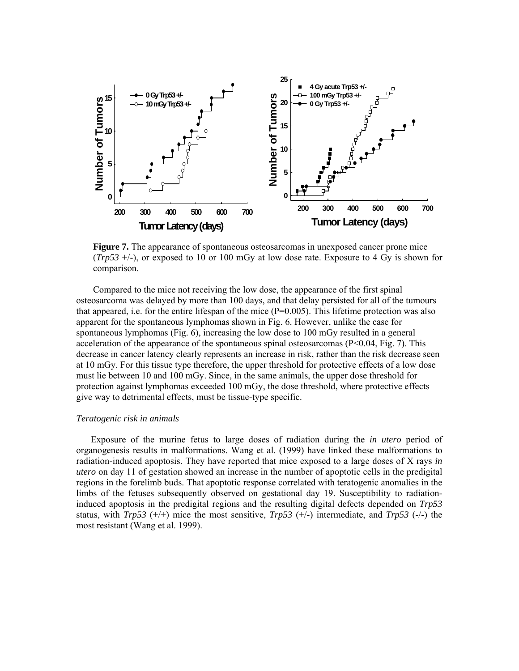

**Figure 7.** The appearance of spontaneous osteosarcomas in unexposed cancer prone mice (*Trp53* +/-), or exposed to 10 or 100 mGy at low dose rate. Exposure to 4 Gy is shown for comparison.

 Compared to the mice not receiving the low dose, the appearance of the first spinal osteosarcoma was delayed by more than 100 days, and that delay persisted for all of the tumours that appeared, i.e. for the entire lifespan of the mice (P=0.005). This lifetime protection was also apparent for the spontaneous lymphomas shown in Fig. 6. However, unlike the case for spontaneous lymphomas (Fig. 6), increasing the low dose to 100 mGy resulted in a general acceleration of the appearance of the spontaneous spinal osteosarcomas  $(P< 0.04, Fig. 7)$ . This decrease in cancer latency clearly represents an increase in risk, rather than the risk decrease seen at 10 mGy. For this tissue type therefore, the upper threshold for protective effects of a low dose must lie between 10 and 100 mGy. Since, in the same animals, the upper dose threshold for protection against lymphomas exceeded 100 mGy, the dose threshold, where protective effects give way to detrimental effects, must be tissue-type specific.

## *Teratogenic risk in animals*

Exposure of the murine fetus to large doses of radiation during the *in utero* period of organogenesis results in malformations. Wang et al. (1999) have linked these malformations to radiation-induced apoptosis. They have reported that mice exposed to a large doses of X rays *in utero* on day 11 of gestation showed an increase in the number of apoptotic cells in the predigital regions in the forelimb buds. That apoptotic response correlated with teratogenic anomalies in the limbs of the fetuses subsequently observed on gestational day 19. Susceptibility to radiationinduced apoptosis in the predigital regions and the resulting digital defects depended on *Trp53* status, with *Trp53* (+/+) mice the most sensitive, *Trp53* (+/-) intermediate, and *Trp53* (-/-) the most resistant (Wang et al. 1999).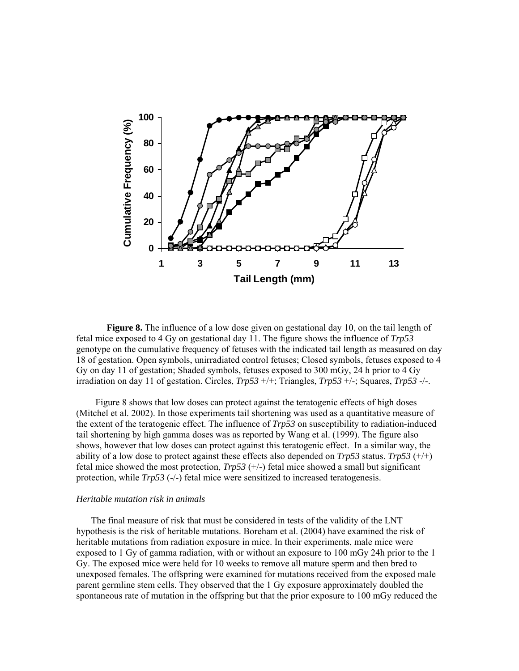

**Figure 8.** The influence of a low dose given on gestational day 10, on the tail length of fetal mice exposed to 4 Gy on gestational day 11. The figure shows the influence of *Trp53* genotype on the cumulative frequency of fetuses with the indicated tail length as measured on day 18 of gestation. Open symbols, unirradiated control fetuses; Closed symbols, fetuses exposed to 4 Gy on day 11 of gestation; Shaded symbols, fetuses exposed to 300 mGy, 24 h prior to 4 Gy irradiation on day 11 of gestation. Circles, *Trp53* +/+; Triangles, *Trp53* +/-; Squares, *Trp53* -/-.

 Figure 8 shows that low doses can protect against the teratogenic effects of high doses (Mitchel et al. 2002). In those experiments tail shortening was used as a quantitative measure of the extent of the teratogenic effect. The influence of *Trp53* on susceptibility to radiation-induced tail shortening by high gamma doses was as reported by Wang et al. (1999). The figure also shows, however that low doses can protect against this teratogenic effect. In a similar way, the ability of a low dose to protect against these effects also depended on  $Trp53$  status.  $Trp53$  ( $\pm/\pm$ ) fetal mice showed the most protection,  $Trp53$  ( $+/-$ ) fetal mice showed a small but significant protection, while *Trp53* (-/-) fetal mice were sensitized to increased teratogenesis.

### *Heritable mutation risk in animals*

 The final measure of risk that must be considered in tests of the validity of the LNT hypothesis is the risk of heritable mutations. Boreham et al. (2004) have examined the risk of heritable mutations from radiation exposure in mice. In their experiments, male mice were exposed to 1 Gy of gamma radiation, with or without an exposure to 100 mGy 24h prior to the 1 Gy. The exposed mice were held for 10 weeks to remove all mature sperm and then bred to unexposed females. The offspring were examined for mutations received from the exposed male parent germline stem cells. They observed that the 1 Gy exposure approximately doubled the spontaneous rate of mutation in the offspring but that the prior exposure to 100 mGy reduced the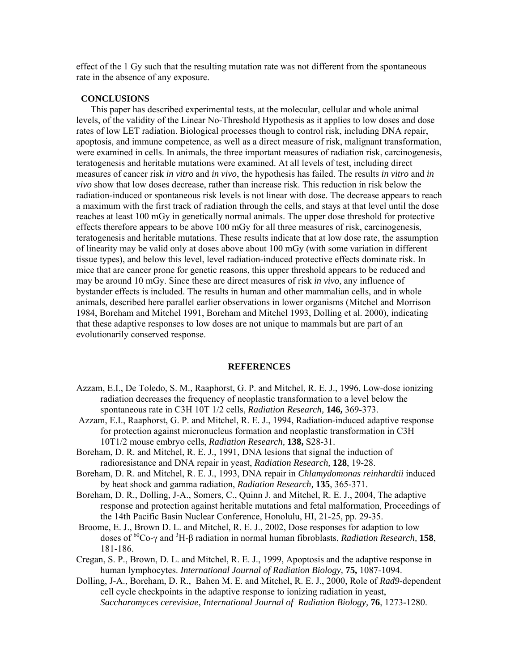effect of the 1 Gy such that the resulting mutation rate was not different from the spontaneous rate in the absence of any exposure.

### **CONCLUSIONS**

This paper has described experimental tests, at the molecular, cellular and whole animal levels, of the validity of the Linear No-Threshold Hypothesis as it applies to low doses and dose rates of low LET radiation. Biological processes though to control risk, including DNA repair, apoptosis, and immune competence, as well as a direct measure of risk, malignant transformation, were examined in cells. In animals, the three important measures of radiation risk, carcinogenesis, teratogenesis and heritable mutations were examined. At all levels of test, including direct measures of cancer risk *in vitro* and *in vivo*, the hypothesis has failed. The results *in vitro* and *in vivo* show that low doses decrease, rather than increase risk. This reduction in risk below the radiation-induced or spontaneous risk levels is not linear with dose. The decrease appears to reach a maximum with the first track of radiation through the cells, and stays at that level until the dose reaches at least 100 mGy in genetically normal animals. The upper dose threshold for protective effects therefore appears to be above 100 mGy for all three measures of risk, carcinogenesis, teratogenesis and heritable mutations. These results indicate that at low dose rate, the assumption of linearity may be valid only at doses above about 100 mGy (with some variation in different tissue types), and below this level, level radiation-induced protective effects dominate risk. In mice that are cancer prone for genetic reasons, this upper threshold appears to be reduced and may be around 10 mGy. Since these are direct measures of risk *in vivo*, any influence of bystander effects is included. The results in human and other mammalian cells, and in whole animals, described here parallel earlier observations in lower organisms (Mitchel and Morrison 1984, Boreham and Mitchel 1991, Boreham and Mitchel 1993, Dolling et al. 2000), indicating that these adaptive responses to low doses are not unique to mammals but are part of an evolutionarily conserved response.

#### **REFERENCES**

- Azzam, E.I., De Toledo, S. M., Raaphorst, G. P. and Mitchel, R. E. J., 1996, Low-dose ionizing radiation decreases the frequency of neoplastic transformation to a level below the spontaneous rate in C3H 10T 1/2 cells, *Radiation Research,* **146,** 369-373.
- Azzam, E.I., Raaphorst, G. P. and Mitchel, R. E. J., 1994, Radiation-induced adaptive response for protection against micronucleus formation and neoplastic transformation in C3H 10T1/2 mouse embryo cells, *Radiation Research,* **138,** S28-31.
- Boreham, D. R. and Mitchel, R. E. J., 1991, DNA lesions that signal the induction of radioresistance and DNA repair in yeast, *Radiation Research,* **128**, 19-28.
- Boreham, D. R. and Mitchel, R. E. J., 1993, DNA repair in *Chlamydomonas reinhardtii* induced by heat shock and gamma radiation, *Radiation Research,* **135**, 365-371.
- Boreham, D. R., Dolling, J-A., Somers, C., Quinn J. and Mitchel, R. E. J., 2004, The adaptive response and protection against heritable mutations and fetal malformation, Proceedings of the 14th Pacific Basin Nuclear Conference, Honolulu, HI, 21-25, pp. 29-35.
- Broome, E. J., Brown D. L. and Mitchel, R. E. J., 2002, Dose responses for adaption to low doses of 60Co-γ and <sup>3</sup> H-β radiation in normal human fibroblasts, *Radiation Research,* **158**, 181-186.
- Cregan, S. P., Brown, D. L. and Mitchel, R. E. J., 1999, Apoptosis and the adaptive response in human lymphocytes. *International Journal of Radiation Biology,* **75,** 1087-1094.
- Dolling, J-A., Boreham, D. R., Bahen M. E. and Mitchel, R. E. J., 2000, Role of *Rad9*-dependent cell cycle checkpoints in the adaptive response to ionizing radiation in yeast, *Saccharomyces cerevisiae*, *International Journal of Radiation Biology,* **76**, 1273-1280.